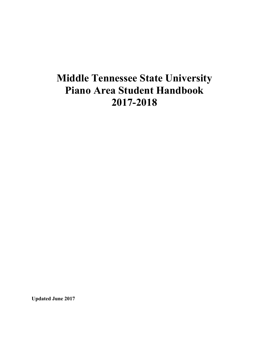# **Middle Tennessee State University Piano Area Student Handbook 2017-2018**

**Updated June 2017**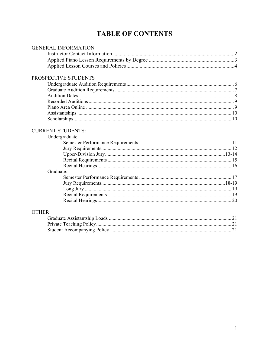## **TABLE OF CONTENTS**

| <b>GENERAL INFORMATION</b> |  |
|----------------------------|--|
|                            |  |
|                            |  |
|                            |  |
| PROSPECTIVE STUDENTS       |  |
|                            |  |
|                            |  |
|                            |  |
|                            |  |
|                            |  |
|                            |  |
|                            |  |
| <b>CURRENT STUDENTS:</b>   |  |
| Undergraduate:             |  |
|                            |  |
|                            |  |
|                            |  |
|                            |  |
|                            |  |
| Graduate:                  |  |
|                            |  |
|                            |  |
|                            |  |
|                            |  |
|                            |  |
| OTHER:                     |  |
|                            |  |
|                            |  |
|                            |  |
|                            |  |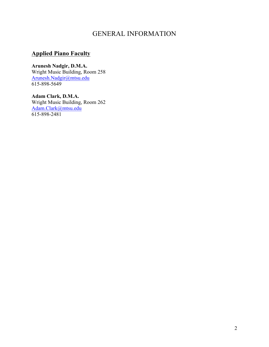## GENERAL INFORMATION

## **Applied Piano Faculty**

**Arunesh Nadgir, D.M.A.** Wright Music Building, Room 258 Arunesh.Nadgir@mtsu.edu 615-898-5649

**Adam Clark, D.M.A.** Wright Music Building, Room 262 Adam.Clark@mtsu.edu 615-898-2481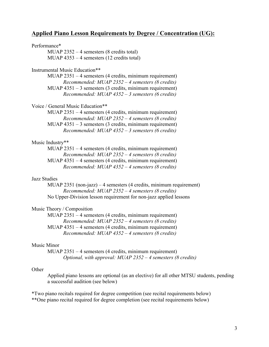#### **Applied Piano Lesson Requirements by Degree / Concentration (UG):**

#### Performance\*

MUAP 2352 – 4 semesters (8 credits total) MUAP 4353 – 4 semesters (12 credits total)

#### Instrumental Music Education\*\*

MUAP 2351 – 4 semesters (4 credits, minimum requirement) *Recommended: MUAP 2352 – 4 semesters (8 credits)* MUAP 4351 – 3 semesters (3 credits, minimum requirement) *Recommended: MUAP 4352 – 3 semesters (6 credits)*

#### Voice / General Music Education\*\*

MUAP 2351 – 4 semesters (4 credits, minimum requirement) *Recommended: MUAP 2352 – 4 semesters (8 credits)* MUAP 4351 – 3 semesters (3 credits, minimum requirement) *Recommended: MUAP 4352 – 3 semesters (6 credits)*

#### Music Industry\*\*

MUAP 2351 – 4 semesters (4 credits, minimum requirement) *Recommended: MUAP 2352 – 4 semesters (8 credits)* MUAP 4351 – 4 semesters (4 credits, minimum requirement) *Recommended: MUAP 4352 – 4 semesters (8 credits)*

#### Jazz Studies

MUAP 2351 (non-jazz) – 4 semesters (4 credits, minimum requirement) *Recommended: MUAP 2352 – 4 semesters (8 credits)* No Upper-Division lesson requirement for non-jazz applied lessons

#### Music Theory / Composition

MUAP 2351 – 4 semesters (4 credits, minimum requirement) *Recommended: MUAP 2352 – 4 semesters (8 credits)* MUAP 4351 – 4 semesters (4 credits, minimum requirement) *Recommended: MUAP 4352 – 4 semesters (8 credits)*

#### Music Minor

MUAP 2351 – 4 semesters (4 credits, minimum requirement) *Optional, with approval: MUAP 2352 – 4 semesters (8 credits)*

#### **Other**

Applied piano lessons are optional (as an elective) for all other MTSU students, pending a successful audition (see below)

\*Two piano recitals required for degree competition (see recital requirements below) \*\*One piano recital required for degree completion (see recital requirements below)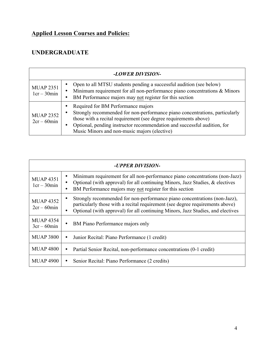## **Applied Lesson Courses and Policies:**

## **UNDERGRADUATE**

| -LOWER DIVISION-                  |                                                                                                                                                                                                                                                                                                                   |  |
|-----------------------------------|-------------------------------------------------------------------------------------------------------------------------------------------------------------------------------------------------------------------------------------------------------------------------------------------------------------------|--|
| <b>MUAP 2351</b><br>$1cr - 30min$ | Open to all MTSU students pending a successful audition (see below)<br>Minimum requirement for all non-performance piano concentrations & Minors<br>BM Performance majors may not register for this section                                                                                                       |  |
| <b>MUAP 2352</b><br>$2cr - 60min$ | Required for BM Performance majors<br>Strongly recommended for non-performance piano concentrations, particularly<br>those with a recital requirement (see degree requirements above)<br>Optional, pending instructor recommendation and successful audition, for<br>Music Minors and non-music majors (elective) |  |

| -UPPER DIVISION-                  |                                                                                                                                                                                                                                               |
|-----------------------------------|-----------------------------------------------------------------------------------------------------------------------------------------------------------------------------------------------------------------------------------------------|
| <b>MUAP 4351</b><br>$1cr - 30min$ | Minimum requirement for all non-performance piano concentrations (non-Jazz)<br>Optional (with approval) for all continuing Minors, Jazz Studies, $\&$ electives<br>BM Performance majors may not register for this section                    |
| <b>MUAP 4352</b><br>$2cr - 60min$ | Strongly recommended for non-performance piano concentrations (non-Jazz),<br>particularly those with a recital requirement (see degree requirements above)<br>Optional (with approval) for all continuing Minors, Jazz Studies, and electives |
| <b>MUAP 4354</b><br>$3cr - 60min$ | BM Piano Performance majors only<br>٠                                                                                                                                                                                                         |
| <b>MUAP 3800</b>                  | Junior Recital: Piano Performance (1 credit)<br>٠                                                                                                                                                                                             |
| <b>MUAP 4800</b>                  | Partial Senior Recital, non-performance concentrations (0-1 credit)                                                                                                                                                                           |
| <b>MUAP 4900</b>                  | Senior Recital: Piano Performance (2 credits)                                                                                                                                                                                                 |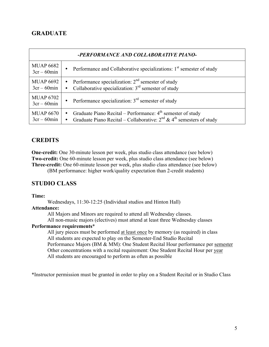### **GRADUATE**

| -PERFORMANCE AND COLLABORATIVE PIANO- |                                                                                                                                                                                  |
|---------------------------------------|----------------------------------------------------------------------------------------------------------------------------------------------------------------------------------|
| <b>MUAP 6682</b><br>$3cr - 60min$     | • Performance and Collaborative specializations: $1st$ semester of study                                                                                                         |
| <b>MUAP 6692</b><br>$3cr - 60min$     | Performance specialization: $2nd$ semester of study<br>Collaborative specialization: $3rd$ semester of study                                                                     |
| <b>MUAP 6702</b><br>$3cr - 60min$     | • Performance specialization: $3rd$ semester of study                                                                                                                            |
| <b>MUAP 6670</b><br>$3cr - 60min$     | Graduate Piano Recital – Performance: $4th$ semester of study<br>$\bullet$<br>Graduate Piano Recital – Collaborative: $2^{nd}$ & 4 <sup>th</sup> semesters of study<br>$\bullet$ |

#### **CREDITS**

**One-credit:** One 30-minute lesson per week, plus studio class attendance (see below) **Two-credit:** One 60-minute lesson per week, plus studio class attendance (see below) **Three-credit:** One 60-minute lesson per week, plus studio class attendance (see below)

(BM performance: higher work/quality expectation than 2-credit students)

### **STUDIO CLASS**

#### **Time:**

Wednesdays, 11:30-12:25 (Individual studios and Hinton Hall)

#### **Attendance:**

All Majors and Minors are required to attend all Wednesday classes.

All non-music majors (electives) must attend at least three Wednesday classes

#### **Performance requirements**\*

All jury pieces must be performed at least once by memory (as required) in class All students are expected to play on the Semester-End Studio Recital Performance Majors (BM & MM): One Student Recital Hour performance per semester Other concentrations with a recital requirement: One Student Recital Hour per year All students are encouraged to perform as often as possible

\*Instructor permission must be granted in order to play on a Student Recital or in Studio Class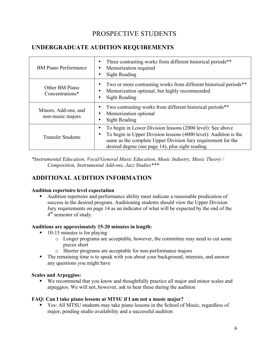## PROSPECTIVE STUDENTS

## **UNDERGRADUATE AUDITION REQUIREMENTS**

| <b>BM</b> Piano Performance              | Three contrasting works from different historical periods <sup>**</sup><br>Memorization required<br>٠<br><b>Sight Reading</b>                                                                                                                       |
|------------------------------------------|-----------------------------------------------------------------------------------------------------------------------------------------------------------------------------------------------------------------------------------------------------|
| Other BM Piano<br>Concentrations*        | Two or more contrasting works from different historical periods**<br>Memorization optional, but highly recommended<br><b>Sight Reading</b>                                                                                                          |
| Minors, Add-ons, and<br>non-music majors | Two contrasting works from different historical periods**<br>Memorization optional<br><b>Sight Reading</b>                                                                                                                                          |
| <b>Transfer Students</b>                 | To begin in Lower Division lessons (2000 level): See above<br>To begin in Upper Division lessons (4000 level): Audition is the<br>same as the complete Upper Division Jury requirement for the<br>desired degree (see page 14), plus sight reading. |

*\*Instrumental Education, Vocal/General Music Education, Music Industry, Music Theory / Composition, Instrumental Add-ons, Jazz Studies\*\*\**

## **ADDITIONAL AUDITION INFORMATION**

#### **Audition repertoire level expectation**

§ Audition repertoire and performance ability must indicate a reasonable predication of success in the desired program. Auditioning students should view the Upper Division Jury requirements on page 14 as an indicator of what will be expected by the end of the 4<sup>th</sup> semester of study.

#### **Auditions are approximately 15-20 minutes in length:**

- 10-15 minutes is for playing
	- o Longer programs are acceptable, however, the committee may need to cut some pieces short
	- o Shorter programs are acceptable for non-performance majors
- The remaining time is to speak with you about your background, interests, and answer any questions you might have

#### **Scales and Arpeggios:**

■ We recommend that you know and thoughtfully practice all major and minor scales and arpeggios. We will not, however, ask to hear these during the audition

#### **FAQ: Can I take piano lessons at MTSU if I am not a music major?**

Yes: All MTSU students may take piano lessons in the School of Music, regardless of major, pending studio availability and a successful audition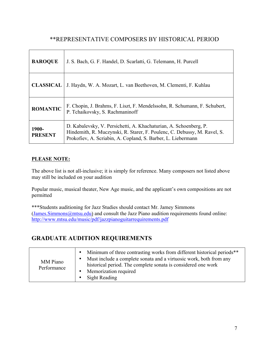## \*\*REPRESENTATIVE COMPOSERS BY HISTORICAL PERIOD

| <b>BAROQUE</b>          | J. S. Bach, G. F. Handel, D. Scarlatti, G. Telemann, H. Purcell                                                                                                                                               |
|-------------------------|---------------------------------------------------------------------------------------------------------------------------------------------------------------------------------------------------------------|
| <b>CLASSICAL</b>        | J. Haydn, W. A. Mozart, L. van Beethoven, M. Clementi, F. Kuhlau                                                                                                                                              |
| <b>ROMANTIC</b>         | F. Chopin, J. Brahms, F. Liszt, F. Mendelssohn, R. Schumann, F. Schubert,<br>P. Tchaikovsky, S. Rachmaninoff                                                                                                  |
| 1900-<br><b>PRESENT</b> | D. Kabalevsky, V. Persichetti, A. Khachaturian, A. Schoenberg, P.<br>Hindemith, R. Muczynski, R. Starer, F. Poulenc, C. Debussy, M. Ravel, S.<br>Prokofiev, A. Scriabin, A. Copland, S. Barber, L. Liebermann |

#### **PLEASE NOTE:**

The above list is not all-inclusive; it is simply for reference. Many composers not listed above may still be included on your audition

Popular music, musical theater, New Age music, and the applicant's own compositions are not permitted

\*\*\*Students auditioning for Jazz Studies should contact Mr. Jamey Simmons (James.Simmons@mtsu.edu) and consult the Jazz Piano audition requirements found online: http://www.mtsu.edu/music/pdf/jazzpianoguitarrequirements.pdf

## **GRADUATE AUDITION REQUIREMENTS**

| MM Piano<br>Performance | Minimum of three contrasting works from different historical periods <sup>**</sup><br>$\bullet$<br>Must include a complete sonata and a virtuosic work, both from any<br>$\bullet$<br>historical period. The complete sonata is considered one work<br>Memorization required<br>$\bullet$<br>Sight Reading |
|-------------------------|------------------------------------------------------------------------------------------------------------------------------------------------------------------------------------------------------------------------------------------------------------------------------------------------------------|
|-------------------------|------------------------------------------------------------------------------------------------------------------------------------------------------------------------------------------------------------------------------------------------------------------------------------------------------------|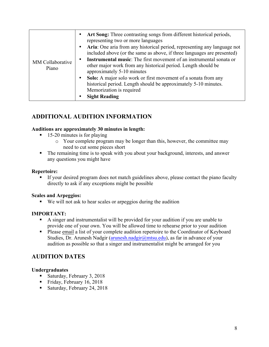## **ADDITIONAL AUDITION INFORMATION**

#### **Auditions are approximately 30 minutes in length:**

- 15-20 minutes is for playing
	- o Your complete program may be longer than this, however, the committee may need to cut some pieces short
- The remaining time is to speak with you about your background, interests, and answer any questions you might have

#### **Repertoire:**

■ If your desired program does not match guidelines above, please contact the piano faculty directly to ask if any exceptions might be possible

#### **Scales and Arpeggios:**

■ We will not ask to hear scales or arpeggios during the audition

#### **IMPORTANT:**

- § A singer and instrumentalist will be provided for your audition if you are unable to provide one of your own. You will be allowed time to rehearse prior to your audition
- Please email a list of your complete audition repertoire to the Coordinator of Keyboard Studies, Dr. Arunesh Nadgir (arunesh.nadgir@mtsu.edu), as far in advance of your audition as possible so that a singer and instrumentalist might be arranged for you

### **AUDITION DATES**

#### **Undergraduates**

- Saturday, February 3, 2018
- Friday, February 16, 2018
- Saturday, February 24, 2018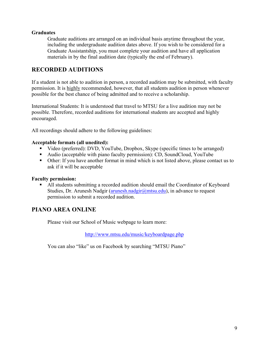#### **Graduates**

Graduate auditions are arranged on an individual basis anytime throughout the year, including the undergraduate audition dates above. If you wish to be considered for a Graduate Assistantship, you must complete your audition and have all application materials in by the final audition date (typically the end of February).

### **RECORDED AUDITIONS**

If a student is not able to audition in person, a recorded audition may be submitted, with faculty permission. It is highly recommended, however, that all students audition in person whenever possible for the best chance of being admitted and to receive a scholarship.

International Students: It is understood that travel to MTSU for a live audition may not be possible. Therefore, recorded auditions for international students are accepted and highly encouraged.

All recordings should adhere to the following guidelines:

#### **Acceptable formats (all unedited):**

- Video (preferred): DVD, YouTube, Dropbox, Skype (specific times to be arranged)
- § Audio (acceptable with piano faculty permission): CD, SoundCloud, YouTube
- Other: If you have another format in mind which is not listed above, please contact us to ask if it will be acceptable

#### **Faculty permission:**

§ All students submitting a recorded audition should email the Coordinator of Keyboard Studies, Dr. Arunesh Nadgir (arunesh.nadgir@mtsu.edu), in advance to request permission to submit a recorded audition.

### **PIANO AREA ONLINE**

Please visit our School of Music webpage to learn more:

http://www.mtsu.edu/music/keyboardpage.php

You can also "like" us on Facebook by searching "MTSU Piano"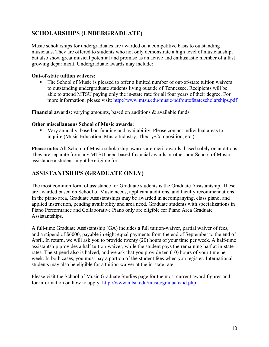## **SCHOLARSHIPS (UNDERGRADUATE)**

Music scholarships for undergraduates are awarded on a competitive basis to outstanding musicians. They are offered to students who not only demonstrate a high level of musicianship, but also show great musical potential and promise as an active and enthusiastic member of a fast growing department. Undergraduate awards may include:

#### **Out-of-state tuition waivers:**

■ The School of Music is pleased to offer a limited number of out-of-state tuition waivers to outstanding undergraduate students living outside of Tennessee. Recipients will be able to attend MTSU paying only the in-state rate for all four years of their degree. For more information, please visit: http://www.mtsu.edu/music/pdf/outofstatescholarships.pdf

**Financial awards:** varying amounts, based on auditions & available funds

#### **Other miscellaneous School of Music awards:**

§ Vary annually, based on funding and availability. Please contact individual areas to inquire (Music Education, Music Industry, Theory/Composition, etc.)

**Please note:** All School of Music scholarship awards are merit awards, based solely on auditions. They are separate from any MTSU need-based financial awards or other non-School of Music assistance a student might be eligible for

## **ASSISTANTSHIPS (GRADUATE ONLY)**

The most common form of assistance for Graduate students is the Graduate Assistantship. These are awarded based on School of Music needs, applicant auditions, and faculty recommendations. In the piano area, Graduate Assistantships may be awarded in accompanying, class piano, and applied instruction, pending availability and area need. Graduate students with specializations in Piano Performance and Collaborative Piano only are eligible for Piano Area Graduate Assistantships.

A full-time Graduate Assistantship (GA) includes a full tuition-waiver, partial waiver of fees, and a stipend of \$6000, payable in eight equal payments from the end of September to the end of April. In return, we will ask you to provide twenty (20) hours of your time per week. A half-time assistantship provides a half tuition-waiver, while the student pays the remaining half at in-state rates. The stipend also is halved, and we ask that you provide ten (10) hours of your time per week. In both cases, you must pay a portion of the student fees when you register. International students may also be eligible for a tuition waiver at the in-state rate.

Please visit the School of Music Graduate Studies page for the most current award figures and for information on how to apply: http://www.mtsu.edu/music/graduateaid.php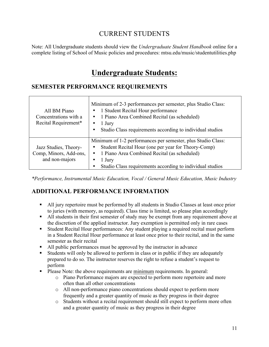## CURRENT STUDENTS

Note: All Undergraduate students should view the *Undergraduate Student Handbook* online for a complete listing of School of Music policies and procedures: mtsu.edu/music/studentutilities.php

## **Undergraduate Students:**

### **SEMESTER PERFORMANCE REQUIREMENTS**

| All BM Piano<br>Concentrations with a<br>Recital Requirement*     | Minimum of 2-3 performances per semester, plus Studio Class:<br>• 1 Student Recital Hour performance<br>• 1 Piano Area Combined Recital (as scheduled)<br>1 Jury<br>Studio Class requirements according to individual studios                |
|-------------------------------------------------------------------|----------------------------------------------------------------------------------------------------------------------------------------------------------------------------------------------------------------------------------------------|
| Jazz Studies, Theory-<br>Comp, Minors, Add-ons,<br>and non-majors | Minimum of 1-2 performances per semester, plus Studio Class:<br>Student Recital Hour (one per year for Theory-Comp)<br>• 1 Piano Area Combined Recital (as scheduled)<br>1 Jury<br>Studio Class requirements according to individual studios |

*\*Performance, Instrumental Music Education, Vocal / General Music Education, Music Industry*

## **ADDITIONAL PERFORMANCE INFORMATION**

- All jury repertoire must be performed by all students in Studio Classes at least once prior to juries (with memory, as required). Class time is limited, so please plan accordingly
- All students in their first semester of study may be exempt from any requirement above at the discretion of the applied instructor. Jury exemption is permitted only in rare cases
- Student Recital Hour performances: Any student playing a required recital must perform in a Student Recital Hour performance at least once prior to their recital, and in the same semester as their recital
- § All public performances must be approved by the instructor in advance
- Students will only be allowed to perform in class or in public if they are adequately prepared to do so. The instructor reserves the right to refuse a student's request to perform
- § Please Note: the above requirements are minimum requirements. In general:
	- o Piano Performance majors are expected to perform more repertoire and more often than all other concentrations
	- o All non-performance piano concentrations should expect to perform more frequently and a greater quantity of music as they progress in their degree
	- o Students without a recital requirement should still expect to perform more often and a greater quantity of music as they progress in their degree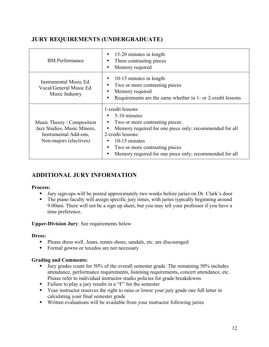## **JURY REQUIREMENTS (UNDERGRADUATE)**

| <b>BM</b> Performance                                                                                        | 15-20 minutes in length<br>Three contrasting pieces<br>Memory required                                                                                                                                                                                            |
|--------------------------------------------------------------------------------------------------------------|-------------------------------------------------------------------------------------------------------------------------------------------------------------------------------------------------------------------------------------------------------------------|
| Instrumental Music Ed.<br>Vocal/General Music Ed.<br>Music Industry                                          | 10-15 minutes in length<br>Two or more contrasting pieces<br>Memory required<br>Requirements are the same whether in 1- or 2-credit lessons                                                                                                                       |
| Music Theory / Composition<br>Jazz Studies, Music Minors,<br>Instrumental Add-ons,<br>Non-majors (electives) | 1-credit lessons:<br>5-10 minutes<br>Two or more contrasting pieces<br>Memory required for one piece only; recommended for all<br>2-credit lessons:<br>10-15 minutes<br>Two or more contrasting pieces<br>Memory required for one piece only; recommended for all |

## **ADDITIONAL JURY INFORMATION**

#### **Process:**

- Jury sign-ups will be posted approximately two weeks before juries on Dr. Clark's door
- The piano faculty will assign specific jury times, with juries typically beginning around 9:00am. There will not be a sign up sheet, but you may tell your professor if you have a time preference.

#### **Upper-Division Jury**: See requirements below

#### **Dress:**

- § Please dress well. Jeans, tennis shoes, sandals, etc. are discouraged
- Formal gowns or tuxedos are not necessary

#### **Grading and Comments:**

- Jury grades count for 50% of the overall semester grade. The remaining 50% includes attendance, performance requirements, listening requirements, concert attendance, etc. Please refer to individual instructor studio policies for grade breakdowns
- Failure to play a jury results in a "F" for the semester
- Your instructor reserves the right to raise or lower your jury grade one full letter in calculating your final semester grade
- § Written evaluations will be available from your instructor following juries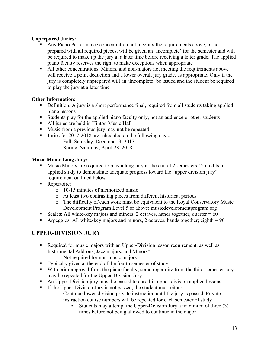#### **Unprepared Juries:**

- § Any Piano Performance concentration not meeting the requirements above, or not prepared with all required pieces, will be given an 'Incomplete' for the semester and will be required to make up the jury at a later time before receiving a letter grade. The applied piano faculty reserves the right to make exceptions when appropriate
- § All other concentrations, Minors, and non-majors not meeting the requirements above will receive a point deduction and a lower overall jury grade, as appropriate. Only if the jury is completely unprepared will an 'Incomplete' be issued and the student be required to play the jury at a later time

#### **Other Information:**

- Definition: A jury is a short performance final, required from all students taking applied piano lessons
- Students play for the applied piano faculty only, not an audience or other students
- All juries are held in Hinton Music Hall
- Music from a previous jury may not be repeated
- Juries for 2017-2018 are scheduled on the following days:
	- o Fall: Saturday, December 9, 2017
	- o Spring, Saturday, April 28, 2018

#### **Music Minor Long Jury:**

- § Music Minors are required to play a long jury at the end of 2 semesters / 2 credits of applied study to demonstrate adequate progress toward the "upper division jury" requirement outlined below.
- Repertoire:
	- o 10-15 minutes of memorized music
	- o At least two contrasting pieces from different historical periods
	- o The difficulty of each work must be equivalent to the Royal Conservatory Music Development Program Level 5 or above: musicdevelopmentprogram.org
- Scales: All white-key majors and minors, 2 octaves, hands together; quarter  $= 60$
- Arpeggios: All white-key majors and minors, 2 octaves, hands together; eighth  $= 90$

## **UPPER-DIVISION JURY**

- Required for music majors with an Upper-Division lesson requirement, as well as Instrumental Add-ons, Jazz majors, and Minors\*
	- o Not required for non-music majors
- Typically given at the end of the fourth semester of study
- With prior approval from the piano faculty, some repertoire from the third-semester jury may be repeated for the Upper-Division Jury
- An Upper-Division jury must be passed to enroll in upper-division applied lessons
- **•** If the Upper-Division Jury is not passed, the student must either:
	- o Continue lower-division private instruction until the jury is passed. Private instruction course numbers will be repeated for each semester of study
		- § Students may attempt the Upper-Division Jury a maximum of three (3) times before not being allowed to continue in the major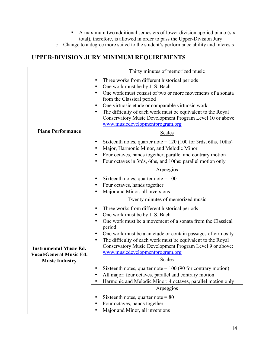- A maximum two additional semesters of lower division applied piano (six total), therefore, is allowed in order to pass the Upper-Division Jury
- o Change to a degree more suited to the student's performance ability and interests

## **UPPER-DIVISION JURY MINIMUM REQUIREMENTS**

|                                | Thirty minutes of memorized music                                                                 |
|--------------------------------|---------------------------------------------------------------------------------------------------|
|                                | Three works from different historical periods                                                     |
|                                | One work must be by J. S. Bach                                                                    |
|                                | One work must consist of two or more movements of a sonata                                        |
|                                | from the Classical period                                                                         |
|                                | One virtuosic etude or comparable virtuosic work                                                  |
|                                | The difficulty of each work must be equivalent to the Royal                                       |
|                                | Conservatory Music Development Program Level 10 or above:                                         |
|                                | www.musicdevelopmentprogram.org                                                                   |
| <b>Piano Performance</b>       | Scales                                                                                            |
|                                | Sixteenth notes, quarter note = $120(100 \text{ for 3} \text{ rds}, 6 \text{ths}, 10 \text{ths})$ |
|                                | Major, Harmonic Minor, and Melodic Minor                                                          |
|                                | Four octaves, hands together, parallel and contrary motion                                        |
|                                | Four octaves in 3rds, 6ths, and 10ths: parallel motion only                                       |
|                                | Arpeggios                                                                                         |
|                                | Sixteenth notes, quarter note $= 100$                                                             |
|                                | Four octaves, hands together                                                                      |
|                                | Major and Minor, all inversions                                                                   |
|                                | Twenty minutes of memorized music                                                                 |
|                                | Three works from different historical periods                                                     |
|                                | One work must be by J. S. Bach                                                                    |
|                                | One work must be a movement of a sonata from the Classical                                        |
|                                | period                                                                                            |
|                                | One work must be a an etude or contain passages of virtuosity                                     |
|                                | The difficulty of each work must be equivalent to the Royal                                       |
| <b>Instrumental Music Ed.</b>  | Conservatory Music Development Program Level 9 or above:                                          |
| <b>Vocal/General Music Ed.</b> | www.musicdevelopmentprogram.org                                                                   |
| <b>Music Industry</b>          | <b>Scales</b>                                                                                     |
|                                | Sixteenth notes, quarter note = $100$ (90 for contrary motion)                                    |
|                                | All major: four octaves, parallel and contrary motion                                             |
|                                | Harmonic and Melodic Minor: 4 octaves, parallel motion only                                       |
|                                | Arpeggios                                                                                         |
|                                | Sixteenth notes, quarter note = $80$                                                              |
|                                | Four octaves, hands together                                                                      |
|                                | Major and Minor, all inversions                                                                   |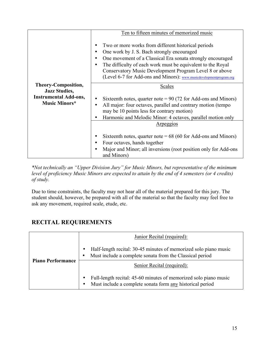|                                                                       | Ten to fifteen minutes of memorized music                                                                                                                                                                                                                                                                                                                             |
|-----------------------------------------------------------------------|-----------------------------------------------------------------------------------------------------------------------------------------------------------------------------------------------------------------------------------------------------------------------------------------------------------------------------------------------------------------------|
|                                                                       | Two or more works from different historical periods<br>One work by J. S. Bach strongly encouraged<br>٠<br>One movement of a Classical Era sonata strongly encouraged<br>The difficulty of each work must be equivalent to the Royal<br>Conservatory Music Development Program Level 8 or above<br>(Level 6-7 for Add-ons and Minors): www.musicdevelopmentprogram.org |
| Theory-Composition,                                                   | Scales                                                                                                                                                                                                                                                                                                                                                                |
| <b>Jazz Studies,</b><br><b>Instrumental Add-ons,</b><br>Music Minors* | Sixteenth notes, quarter note = $90(72)$ for Add-ons and Minors)<br>All major: four octaves, parallel and contrary motion (tempo<br>may be 10 points less for contrary motion)<br>Harmonic and Melodic Minor: 4 octaves, parallel motion only                                                                                                                         |
|                                                                       | Arpeggios                                                                                                                                                                                                                                                                                                                                                             |
|                                                                       | Sixteenth notes, quarter note = $68(60)$ for Add-ons and Minors)<br>Four octaves, hands together<br>Major and Minor; all inversions (root position only for Add-ons<br>and Minors)                                                                                                                                                                                    |

*\*Not technically an "Upper Division Jury" for Music Minors, but representative of the minimum level of proficiency Music Minors are expected to attain by the end of 4 semesters (or 4 credits) of study.*

Due to time constraints, the faculty may not hear all of the material prepared for this jury. The student should, however, be prepared with all of the material so that the faculty may feel free to ask any movement, required scale, etude, etc.

## **RECITAL REQUIREMENTS**

|                          | Junior Recital (required):                                                                                                    |
|--------------------------|-------------------------------------------------------------------------------------------------------------------------------|
| <b>Piano Performance</b> | Half-length recital: 30-45 minutes of memorized solo piano music<br>Must include a complete sonata from the Classical period  |
|                          | Senior Recital (required):                                                                                                    |
|                          | Full-length recital: 45-60 minutes of memorized solo piano music<br>Must include a complete sonata form any historical period |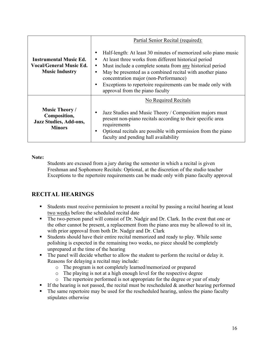|                                                                                          | Partial Senior Recital (required):                                                                                                                                                                                                                                                                                                                                                                                            |
|------------------------------------------------------------------------------------------|-------------------------------------------------------------------------------------------------------------------------------------------------------------------------------------------------------------------------------------------------------------------------------------------------------------------------------------------------------------------------------------------------------------------------------|
| <b>Instrumental Music Ed.</b><br><b>Vocal/General Music Ed.</b><br><b>Music Industry</b> | Half-length: At least 30 minutes of memorized solo piano music<br>٠<br>At least three works from different historical period<br>٠<br>Must include a complete sonata from any historical period<br>٠<br>May be presented as a combined recital with another piano<br>$\bullet$<br>concentration major (non-Performance)<br>Exceptions to repertoire requirements can be made only with<br>٠<br>approval from the piano faculty |
| <b>Music Theory /</b><br>Composition,<br><b>Jazz Studies, Add-ons,</b><br><b>Minors</b>  | No Required Recitals<br>Jazz Studies and Music Theory / Composition majors must<br>٠<br>present non-piano recitals according to their specific area<br>requirements<br>Optional recitals are possible with permission from the piano<br>٠<br>faculty and pending hall availability                                                                                                                                            |

**Note:**

Students are excused from a jury during the semester in which a recital is given Freshman and Sophomore Recitals: Optional, at the discretion of the studio teacher Exceptions to the repertoire requirements can be made only with piano faculty approval

## **RECITAL HEARINGS**

- Students must receive permission to present a recital by passing a recital hearing at least two weeks before the scheduled recital date
- The two-person panel will consist of Dr. Nadgir and Dr. Clark. In the event that one or the other cannot be present, a replacement from the piano area may be allowed to sit in, with prior approval from both Dr. Nadgir and Dr. Clark
- Students should have their entire recital memorized and ready to play. While some polishing is expected in the remaining two weeks, no piece should be completely unprepared at the time of the hearing
- The panel will decide whether to allow the student to perform the recital or delay it. Reasons for delaying a recital may include:
	- o The program is not completely learned/memorized or prepared
	- o The playing is not at a high enough level for the respective degree
	- o The repertoire performed is not appropriate for the degree or year of study
- **•** If the hearing is not passed, the recital must be rescheduled  $\&$  another hearing performed
- The same repertoire may be used for the rescheduled hearing, unless the piano faculty stipulates otherwise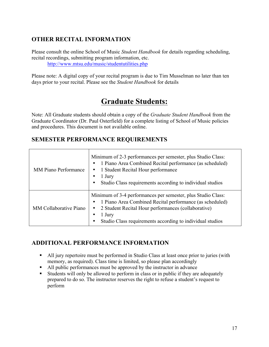## **OTHER RECITAL INFORMATION**

Please consult the online School of Music *Student Handbook* for details regarding scheduling, recital recordings, submitting program information, etc. http://www.mtsu.edu/music/studentutilities.php

Please note: A digital copy of your recital program is due to Tim Musselman no later than ten days prior to your recital. Please see the *Student Handbook* for details

## **Graduate Students:**

Note: All Graduate students should obtain a copy of the *Graduate Student Handbook* from the Graduate Coordinator (Dr. Paul Osterfield) for a complete listing of School of Music policies and procedures. This document is not available online.

## **SEMESTER PERFORMANCE REQUIREMENTS**

| <b>MM Piano Performance</b>   | Minimum of 2-3 performances per semester, plus Studio Class:<br>1 Piano Area Combined Recital performance (as scheduled)<br>1 Student Recital Hour performance<br>$\bullet$<br>1 Jury<br>Studio Class requirements according to individual studios                  |
|-------------------------------|---------------------------------------------------------------------------------------------------------------------------------------------------------------------------------------------------------------------------------------------------------------------|
| <b>MM</b> Collaborative Piano | Minimum of 3-4 performances per semester, plus Studio Class:<br>1 Piano Area Combined Recital performance (as scheduled)<br>2 Student Recital Hour performances (collaborative)<br>$\bullet$<br>1 Jury<br>Studio Class requirements according to individual studios |

## **ADDITIONAL PERFORMANCE INFORMATION**

- All jury repertoire must be performed in Studio Class at least once prior to juries (with memory, as required). Class time is limited, so please plan accordingly
- § All public performances must be approved by the instructor in advance
- Students will only be allowed to perform in class or in public if they are adequately prepared to do so. The instructor reserves the right to refuse a student's request to perform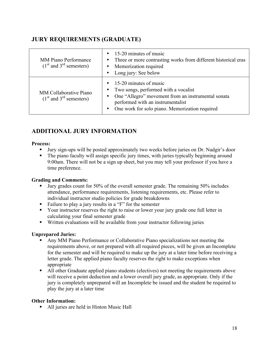## **JURY REQUIREMENTS (GRADUATE)**

| <b>MM Piano Performance</b><br>$(1st$ and 3 <sup>rd</sup> semesters) | $\bullet$ 15-20 minutes of music<br>• Three or more contrasting works from different historical eras<br>• Memorization required<br>• Long jury: See below                                                                 |
|----------------------------------------------------------------------|---------------------------------------------------------------------------------------------------------------------------------------------------------------------------------------------------------------------------|
| MM Collaborative Piano<br>$(1st$ and 3 <sup>rd</sup> semesters)      | $\bullet$ 15-20 minutes of music<br>• Two songs, performed with a vocalist<br>• One "Allegro" movement from an instrumental sonata<br>performed with an instrumentalist<br>One work for solo piano. Memorization required |

## **ADDITIONAL JURY INFORMATION**

#### **Process:**

- § Jury sign-ups will be posted approximately two weeks before juries on Dr. Nadgir's door
- The piano faculty will assign specific jury times, with juries typically beginning around 9:00am. There will not be a sign up sheet, but you may tell your professor if you have a time preference.

#### **Grading and Comments:**

- Jury grades count for 50% of the overall semester grade. The remaining 50% includes attendance, performance requirements, listening requirements, etc. Please refer to individual instructor studio policies for grade breakdowns
- Failure to play a jury results in a "F" for the semester
- Your instructor reserves the right to raise or lower your jury grade one full letter in calculating your final semester grade
- § Written evaluations will be available from your instructor following juries

#### **Unprepared Juries:**

- § Any MM Piano Performance or Collaborative Piano specializations not meeting the requirements above, or not prepared with all required pieces, will be given an Incomplete for the semester and will be required to make up the jury at a later time before receiving a letter grade. The applied piano faculty reserves the right to make exceptions when appropriate
- All other Graduate applied piano students (electives) not meeting the requirements above will receive a point deduction and a lower overall jury grade, as appropriate. Only if the jury is completely unprepared will an Incomplete be issued and the student be required to play the jury at a later time

#### **Other Information:**

• All juries are held in Hinton Music Hall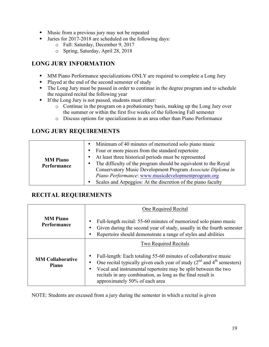- Music from a previous jury may not be repeated
- Juries for 2017-2018 are scheduled on the following days:
	- o Fall: Saturday, December 9, 2017
	- o Spring, Saturday, April 28, 2018

## **LONG JURY INFORMATION**

- MM Piano Performance specializations ONLY are required to complete a Long Jury
- Played at the end of the second semester of study
- The Long Jury must be passed in order to continue in the degree program and to schedule the required recital the following year
- **•** If the Long Jury is not passed, students must either:
	- o Continue in the program on a probationary basis, making up the Long Jury over the summer or within the first five weeks of the following Fall semester
	- o Discuss options for specializations in an area other than Piano Performance

### **LONG JURY REQUIREMENTS**

| At least three historical periods must be represented<br>$\bullet$<br><b>MM</b> Piano<br>The difficulty of the program should be equivalent to the Royal<br>$\bullet$<br>Performance<br>Conservatory Music Development Program Associate Diploma in<br>Piano Performance: www.musicdevelopmentprogram.org<br>Scales and Arpeggios: At the discretion of the piano faculty<br>$\bullet$ |  | Minimum of 40 minutes of memorized solo piano music<br>$\bullet$<br>Four or more pieces from the standard repertoire<br>$\bullet$ |
|----------------------------------------------------------------------------------------------------------------------------------------------------------------------------------------------------------------------------------------------------------------------------------------------------------------------------------------------------------------------------------------|--|-----------------------------------------------------------------------------------------------------------------------------------|
|----------------------------------------------------------------------------------------------------------------------------------------------------------------------------------------------------------------------------------------------------------------------------------------------------------------------------------------------------------------------------------------|--|-----------------------------------------------------------------------------------------------------------------------------------|

### **RECITAL REQUIREMENTS**

|                                         | One Required Recital                                                                                                                                                                                                                                                                                                                |
|-----------------------------------------|-------------------------------------------------------------------------------------------------------------------------------------------------------------------------------------------------------------------------------------------------------------------------------------------------------------------------------------|
| <b>MM</b> Piano<br>Performance          | Full-length recital: 55-60 minutes of memorized solo piano music<br>$\bullet$<br>Given during the second year of study, usually in the fourth semester<br>٠<br>Repertoire should demonstrate a range of styles and abilities                                                                                                        |
|                                         | <b>Two Required Recitals</b>                                                                                                                                                                                                                                                                                                        |
| <b>MM Collaborative</b><br><b>Piano</b> | Full-length: Each totaling 55-60 minutes of collaborative music<br>One recital typically given each year of study $(2^{nd}$ and $4^{th}$ semesters)<br>Vocal and instrumental repertoire may be split between the two<br>$\bullet$<br>recitals in any combination, as long as the final result is<br>approximately 50% of each area |

NOTE: Students are excused from a jury during the semester in which a recital is given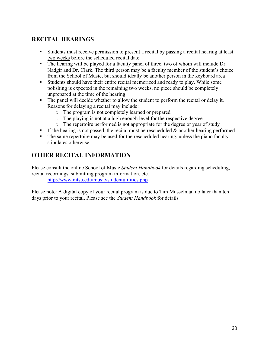## **RECITAL HEARINGS**

- § Students must receive permission to present a recital by passing a recital hearing at least two weeks before the scheduled recital date
- The hearing will be played for a faculty panel of three, two of whom will include Dr. Nadgir and Dr. Clark. The third person may be a faculty member of the student's choice from the School of Music, but should ideally be another person in the keyboard area
- Students should have their entire recital memorized and ready to play. While some polishing is expected in the remaining two weeks, no piece should be completely unprepared at the time of the hearing
- The panel will decide whether to allow the student to perform the recital or delay it. Reasons for delaying a recital may include:
	- o The program is not completely learned or prepared
	- o The playing is not at a high enough level for the respective degree
	- o The repertoire performed is not appropriate for the degree or year of study
- **•** If the hearing is not passed, the recital must be rescheduled  $\&$  another hearing performed
- The same repertoire may be used for the rescheduled hearing, unless the piano faculty stipulates otherwise

## **OTHER RECITAL INFORMATION**

Please consult the online School of Music *Student Handbook* for details regarding scheduling, recital recordings, submitting program information, etc. http://www.mtsu.edu/music/studentutilities.php

Please note: A digital copy of your recital program is due to Tim Musselman no later than ten days prior to your recital. Please see the *Student Handbook* for details